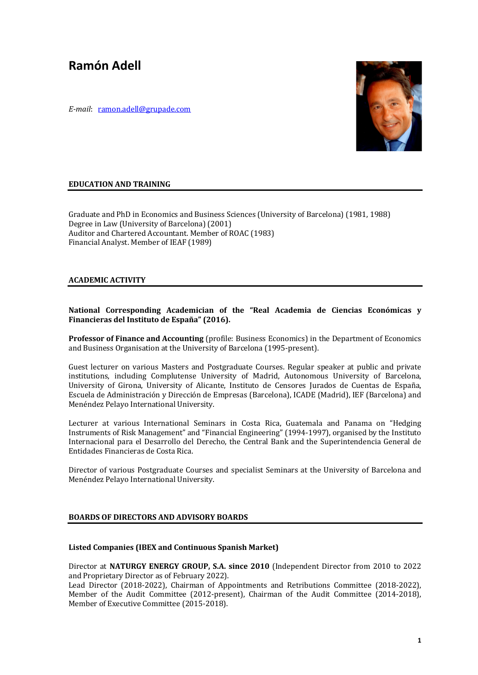# **Ramón Adell**

*E-mail*: ramon.adell@grupade.com



## **EDUCATION AND TRAINING**

Graduate and PhD in Economics and Business Sciences (University of Barcelona) (1981, 1988) Degree in Law (University of Barcelona) (2001) Auditor and Chartered Accountant. Member of ROAC (1983) Financial Analyst. Member of IEAF (1989)

## **ACADEMIC ACTIVITY**

# National Corresponding Academician of the "Real Academia de Ciencias Económicas y Financieras del Instituto de España" (2016).

**Professor of Finance and Accounting** (profile: Business Economics) in the Department of Economics and Business Organisation at the University of Barcelona (1995-present).

Guest lecturer on various Masters and Postgraduate Courses. Regular speaker at public and private institutions, including Complutense University of Madrid, Autonomous University of Barcelona, University of Girona, University of Alicante, Instituto de Censores Jurados de Cuentas de España, Escuela de Administración y Dirección de Empresas (Barcelona), ICADE (Madrid), IEF (Barcelona) and Menéndez Pelayo International University.

Lecturer at various International Seminars in Costa Rica, Guatemala and Panama on "Hedging Instruments of Risk Management" and "Financial Engineering" (1994-1997), organised by the Instituto Internacional para el Desarrollo del Derecho, the Central Bank and the Superintendencia General de Entidades Financieras de Costa Rica.

Director of various Postgraduate Courses and specialist Seminars at the University of Barcelona and Menéndez Pelayo International University.

# **BOARDS OF DIRECTORS AND ADVISORY BOARDS**

## **Listed Companies (IBEX and Continuous Spanish Market)**

Director at **NATURGY ENERGY GROUP, S.A. since 2010** (Independent Director from 2010 to 2022 and Proprietary Director as of February 2022).

Lead Director (2018-2022), Chairman of Appointments and Retributions Committee (2018-2022), Member of the Audit Committee  $(2012$ -present), Chairman of the Audit Committee  $(2014-2018)$ , Member of Executive Committee (2015-2018).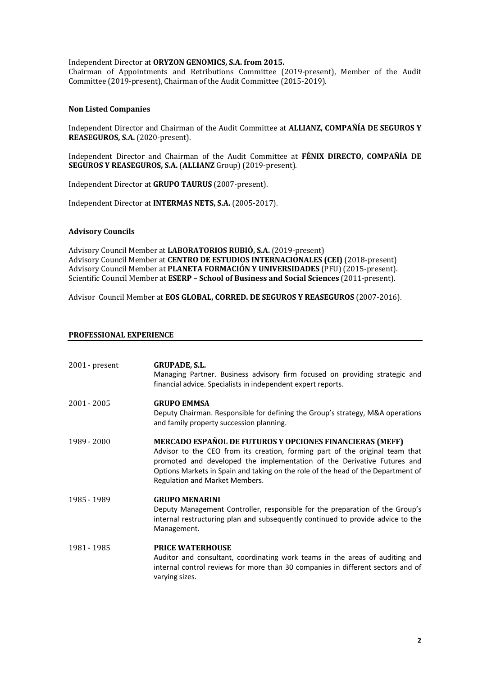Independent Director at ORYZON GENOMICS, S.A. from 2015.

Chairman of Appointments and Retributions Committee (2019-present), Member of the Audit Committee (2019-present), Chairman of the Audit Committee (2015-2019).

## **Non Listed Companies**

Independent Director and Chairman of the Audit Committee at ALLIANZ, COMPAÑÍA DE SEGUROS Y REASEGUROS, S.A. (2020-present).

Independent Director and Chairman of the Audit Committee at **FÉNIX DIRECTO, COMPAÑÍA DE SEGUROS Y REASEGUROS, S.A. (ALLIANZ** Group) (2019-present).

Independent Director at **GRUPO TAURUS** (2007-present).

Independent Director at **INTERMAS NETS, S.A.** (2005-2017).

## **Advisory Councils**

Advisory Council Member at LABORATORIOS RUBIÓ, S.A. (2019-present) Advisory Council Member at CENTRO DE ESTUDIOS INTERNACIONALES (CEI) (2018-present) Advisory Council Member at PLANETA FORMACIÓN Y UNIVERSIDADES (PFU) (2015-present). Scientific Council Member at **ESERP - School of Business and Social Sciences** (2011-present).

Advisor Council Member at **EOS GLOBAL, CORRED. DE SEGUROS Y REASEGUROS** (2007-2016).

#### **PROFESSIONAL EXPERIENCE**

| $2001$ - present | <b>GRUPADE, S.L.</b><br>Managing Partner. Business advisory firm focused on providing strategic and<br>financial advice. Specialists in independent expert reports.                                                                                                                                                                       |
|------------------|-------------------------------------------------------------------------------------------------------------------------------------------------------------------------------------------------------------------------------------------------------------------------------------------------------------------------------------------|
| 2001 - 2005      | <b>GRUPO EMMSA</b><br>Deputy Chairman. Responsible for defining the Group's strategy, M&A operations<br>and family property succession planning.                                                                                                                                                                                          |
| 1989 - 2000      | MERCADO ESPAÑOL DE FUTUROS Y OPCIONES FINANCIERAS (MEFF)<br>Advisor to the CEO from its creation, forming part of the original team that<br>promoted and developed the implementation of the Derivative Futures and<br>Options Markets in Spain and taking on the role of the head of the Department of<br>Regulation and Market Members. |
| 1985 - 1989      | <b>GRUPO MENARINI</b><br>Deputy Management Controller, responsible for the preparation of the Group's<br>internal restructuring plan and subsequently continued to provide advice to the<br>Management.                                                                                                                                   |
| 1981 - 1985      | <b>PRICE WATERHOUSE</b><br>Auditor and consultant, coordinating work teams in the areas of auditing and<br>internal control reviews for more than 30 companies in different sectors and of<br>varying sizes.                                                                                                                              |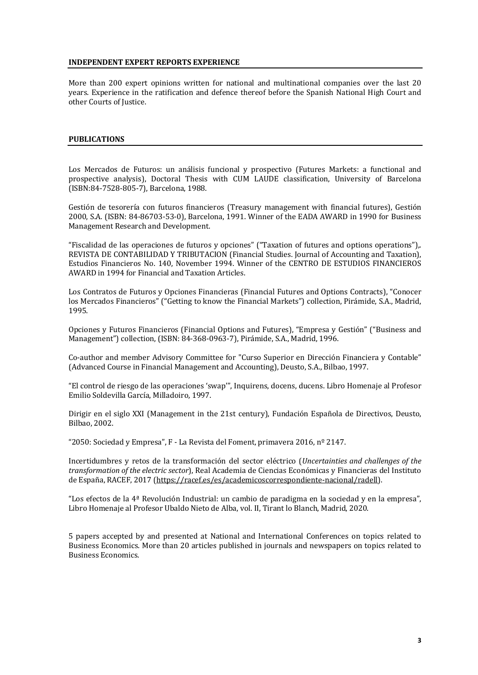#### **INDEPENDENT EXPERT REPORTS EXPERIENCE**

More than 200 expert opinions written for national and multinational companies over the last 20 years. Experience in the ratification and defence thereof before the Spanish National High Court and other Courts of Justice.

#### **PUBLICATIONS**

Los Mercados de Futuros: un análisis funcional y prospectivo (Futures Markets: a functional and prospective analysis), Doctoral Thesis with CUM LAUDE classification, University of Barcelona (ISBN:84-7528-805-7), Barcelona, 1988.

Gestión de tesorería con futuros financieros (Treasury management with financial futures), Gestión 2000, S.A. (ISBN: 84-86703-53-0), Barcelona, 1991. Winner of the EADA AWARD in 1990 for Business Management Research and Development.

"Fiscalidad de las operaciones de futuros y opciones" ("Taxation of futures and options operations").. REVISTA DE CONTABILIDAD Y TRIBUTACION (Financial Studies. Journal of Accounting and Taxation), Estudios Financieros No. 140, November 1994. Winner of the CENTRO DE ESTUDIOS FINANCIEROS AWARD in 1994 for Financial and Taxation Articles.

Los Contratos de Futuros y Opciones Financieras (Financial Futures and Options Contracts), "Conocer los Mercados Financieros" ("Getting to know the Financial Markets") collection, Pirámide, S.A., Madrid, 1995.

Opciones y Futuros Financieros (Financial Options and Futures), "Empresa y Gestión" ("Business and Management") collection, (ISBN: 84-368-0963-7), Pirámide, S.A., Madrid, 1996.

Co-author and member Advisory Committee for "Curso Superior en Dirección Financiera y Contable" (Advanced Course in Financial Management and Accounting), Deusto, S.A., Bilbao, 1997.

"El control de riesgo de las operaciones 'swap'", Inquirens, docens, ducens. Libro Homenaje al Profesor Emilio Soldevilla García, Milladoiro, 1997.

Dirigir en el siglo XXI (Management in the 21st century), Fundación Española de Directivos, Deusto, Bilbao, 2002.

"2050: Sociedad y Empresa", F - La Revista del Foment, primavera 2016, nº 2147.

Incertidumbres y retos de la transformación del sector eléctrico (*Uncertainties and challenges of the transformation of the electric sector*), Real Academia de Ciencias Económicas y Financieras del Instituto de España, RACEF, 2017 (https://racef.es/es/academicoscorrespondiente-nacional/radell).

"Los efectos de la  $4^{\underline{a}}$  Revolución Industrial: un cambio de paradigma en la sociedad y en la empresa", Libro Homenaje al Profesor Ubaldo Nieto de Alba, vol. II, Tirant lo Blanch, Madrid, 2020.

5 papers accepted by and presented at National and International Conferences on topics related to Business Economics. More than 20 articles published in journals and newspapers on topics related to Business Economics.